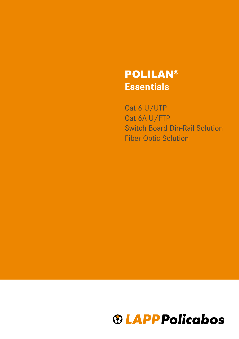# **Essentials** POLILAN®

Cat 6 U/UTP Cat 6A U/FTP Switch Board Din-Rail Solution Fiber Optic Solution

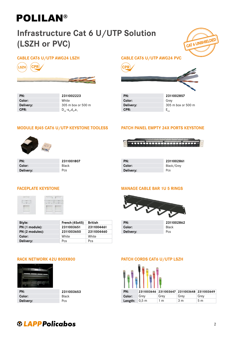### Infrastructure Cat 6 U/UTP Solution (LSZH or PVC)

### CABLE CAT6 U/UTP AWG24 LSZH CABLE CAT6 U/UTP AWG24 PVC



| PN:       | 2311002223                      | PN:       | 2311002857        |
|-----------|---------------------------------|-----------|-------------------|
| Color:    | White                           | Color:    | Grev              |
| Delivery: | 305 m box or 500 m              | Delivery: | 305 m box or      |
| CPR:      | $D_{02} - S_{22} d_{22} d_{12}$ | CPR:      | $-$ <sub>ca</sub> |

# CAT 6 UNSHIELDED



### MODULE RJ45 CAT6 U/UTP KEYSTONE TOOLESS



| PN:       | 2311001807   | PN:       | 23110028   |
|-----------|--------------|-----------|------------|
| Color:    | <b>Black</b> | Color:    | Black/Grev |
| Delivery: | Pcs          | Delivery: | Pcs        |

| <b>PATCH PANEL EMPTY 24X PORTS KEYSTONE</b> |  |  |
|---------------------------------------------|--|--|
|                                             |  |  |



| PN:       |  |
|-----------|--|
| Color:    |  |
| Delivery: |  |

2311002861<br>Black/Grey



| Style:          | <b>French (45x45)</b> | British    | PN:       | 2311         |
|-----------------|-----------------------|------------|-----------|--------------|
| PN (1 module):  | 2311003651            | 2311004461 | Color:    | <b>Black</b> |
| PN (2 modules): | 2311003650            | 2311004460 | Delivery: | Pcs          |
| Color:          | White                 | White      |           |              |
| Delivery:       | Pcs                   | Pcs        |           |              |

### **FACEPLATE KEYSTONE MANAGE CABLE BAR 1U 5 RINGS**



| PN:       | 2311002862 |
|-----------|------------|
| Color:    | Black      |
| Delivery: | <b>Pcs</b> |



| PN:       | 2311003653   |
|-----------|--------------|
| Color:    | <b>Black</b> |
| Delivery: | Pcs          |

### RACK NETWORK 42U 800X800 PATCH CORDS CAT6 U/UTP LSZH



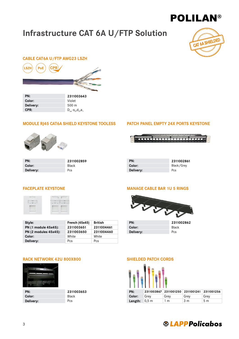### Infrastructure CAT 6A U/FTP Solution



### CABLE CAT6A U/FTP AWG23 LSZH



| 23110030 <del>4</del> 3                                  |
|----------------------------------------------------------|
| Violet                                                   |
| $500 \text{ m}$                                          |
| $D_{ca}$ -s <sub>2</sub> ,d <sub>2</sub> ,a <sub>1</sub> |
|                                                          |

#### MODULE RJ45 CAT6A SHIELD KEYSTONE TOOLESS PATCH PANEL EMPTY 24X PORTS KEYSTONE



| PN:       | 2311002859   | PN:       | 2311002861 |
|-----------|--------------|-----------|------------|
| Color:    | <b>Black</b> | Color:    | Black/Grev |
| Delivery: | Pcs          | Delivery: | Pcs        |



| PN:       | 2311002   |
|-----------|-----------|
| Color:    | Black/Gre |
| Delivery: | Pcs       |



| Style:                       | French $(45x45)$ | <b>British</b> | PN:       | 2311         |
|------------------------------|------------------|----------------|-----------|--------------|
| PN (1 module 45x45):         | 2311003651       | 2311004461     | Color:    | <b>Black</b> |
| <b>PN (2 modules 45x45):</b> | 2311003650       | 2311004460     | Delivery: | Pcs          |
| Color:                       | White            | White          |           |              |
| Delivery:                    | Pcs              | Pcs            |           |              |



| PN:       | 2311003653   |
|-----------|--------------|
| Color:    | <b>Black</b> |
| Delivery: | Pcs          |

#### FACEPLATE KEYSTONE MANAGE CABLE BAR 1U 5 RINGS



| PN:              |  |
|------------------|--|
| Color:           |  |
| <b>Delivery:</b> |  |
|                  |  |

Style: French (45x45) British PN: 2311002862

#### RACK NETWORK 42U 800X800 SHIELDED PATCH CORDS



| PN:                    |      |      | 2311003867 2311001250 2311001241 2311001256 |                |
|------------------------|------|------|---------------------------------------------|----------------|
| Color:                 | Grev | Grev | Grev                                        | Grey           |
| <b>Length:</b> $0,5$ m |      | 1 m  | 3 m                                         | 5 <sub>m</sub> |

### **®LAPPPolicabos**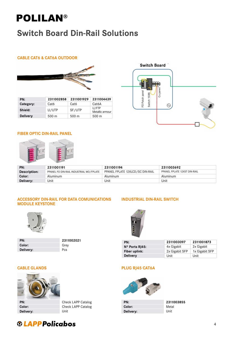### Switch Board Din-Rail Solutions

### CABLE CAT6 & CAT6A OUTDOOR



| PN:             | 2311002858       | 2311001929       | 2311004439               |
|-----------------|------------------|------------------|--------------------------|
| Category:       | Cat <sub>6</sub> | Cat6             | Cat6A                    |
| Shield:         | U/UTP            | SF/UTP           | U/FTP<br>Metallic armour |
| <b>Delivery</b> | $500 \text{ m}$  | 500 <sub>m</sub> | 500 m                    |
|                 |                  |                  |                          |



#### FIBER OPTIC DIN-RAIL PANEL



| PN:          | 2311001191                              | 2311001194                       | 2311003692                   |
|--------------|-----------------------------------------|----------------------------------|------------------------------|
| Description: | PPANEL FO DIN-RAIL INDUSTRIAL WO/FPLATE | PPANEL FPLATE 12XLCD/SC DIN-RAIL | PPANEL FPLATE 12XST DIN-RAIL |
| Color:       | Aluminum                                | Aluminum                         | Aluminum                     |
| Delivery:    | Unit                                    | Unit                             | Unit                         |

#### ACCESSORY DIN-RAIL FOR DATA COMUNICATIONS MODULE KEYSTONE



| PN:       | 2311002021 |
|-----------|------------|
| Color:    | Grev       |
| Delivery: | Pcs        |

### INDUSTRIAL DIN-RAIL SWITCH



| PN:                     | 2311003097     | 2311001873     |
|-------------------------|----------------|----------------|
| $N^{\circ}$ Ports RJ45: | 4x Gigabit     | 2x Gigabit     |
| Fiber uplink:           | 2x Gigabit SFP | 1x Gigabit SFP |
| <b>Delivery</b>         | Unit           | Unit           |

#### CABLE GLANDS PLUG RJ45 CAT6A



| PN:       | Check LAPP Catalog | PN:       | 2311003855 |
|-----------|--------------------|-----------|------------|
| Color:    | Check LAPP Catalog | Color:    | Metal      |
| Delivery: | Unit               | Delivery: | Unit       |



### **<sup>®</sup>LAPPPolicabos**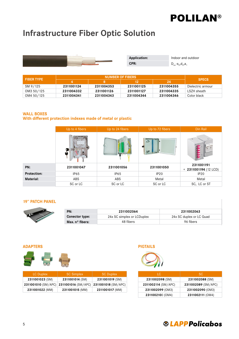### Infrastructure Fiber Optic Solution



**CPR:**  $D_{ca} - S_2, d_2, a_1$ 

**Application:** Indoor and outdoor

| <b>FIBER TYPE</b> | <b>NUMBER OF FIBERS</b> |            |            |            |                   |
|-------------------|-------------------------|------------|------------|------------|-------------------|
|                   |                         |            | 12         | 24         | <b>SPECS</b>      |
| SM 9/125          | 2311001124              | 2311004353 | 2311001125 | 2311004355 | Dielectric armour |
| OM3 50/125        | 2311004332              | 2311001126 | 2311001127 | 2311004335 | LSZH sheath       |
| OM4 50/125        | 2311004341              | 2311004343 | 2311004344 | 2311004346 | Color black       |

#### WALL BOXES

#### With different protection indexes made of metal or plastic

|                    | Up to 4 fibers | Up to 24 fibers | Up to 72 fibers  | Din Rail                            |
|--------------------|----------------|-----------------|------------------|-------------------------------------|
|                    |                |                 |                  | $\sim$                              |
| PN:                | 2311001047     | 2311001056      | 2311001050       | 2311001191<br>+ 2311001194 (12 LCD) |
| <b>Protection:</b> | IP65           | IP65            | IP <sub>20</sub> | IP <sub>20</sub>                    |
| <b>Material:</b>   | ABS            | ABS             | Metal            | Metal                               |
|                    | SC or LC       | SC or LC        | SC or LC         | SC, LC or ST                        |

#### 19'' PATCH PANEL

| PN:                      | 2311002064                 | 2311002063               |
|--------------------------|----------------------------|--------------------------|
| <b>Conector type:</b>    | 24x SC simplex or LCDuplex | 24x SC duplex or LC Quad |
| Max. $n^{\circ}$ fibers: | 48 fibers                  | 96 fibers                |



| <b>LC Duplex</b> | <b>SC Simplex</b> | <b>SC Duplex</b>                                            | LС                  | SC.                 |
|------------------|-------------------|-------------------------------------------------------------|---------------------|---------------------|
| 2311001023 (SM)  | 2311001014 (SM)   | 2311001019 (SM)                                             | 2311002098 (SM)     | 2311002088 (SM)     |
|                  |                   | 2311001010 (SM/APC) 2311001016 (SM/APC) 2311001018 (SM/APC) | 2311002114 (SM/APC) | 2311002089 (SM/APC) |
| 2311001022 (MM)  | 2311001015 (MM)   | 2311001017 (MM)                                             | 2311002099 (OM3)    | 2311002090 (OM3)    |
|                  |                   |                                                             |                     |                     |

ADAPTERS PIGTAILS



| TC.                 | <b>SC</b>           |
|---------------------|---------------------|
| 2311002098 (SM)     | 2311002088 (SM)     |
| 2311002114 (SM/APC) | 2311002089 (SM/APC) |
| 2311002099 (OM3)    | 2311002090 (OM3)    |
| 2311002100 (OM4)    | 2311002111 (OM4)    |

### **® LAPP Policabos**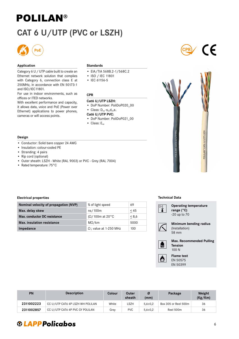### CAT 6 U/UTP (PVC or LSZH)



#### Application

Category 6 U / UTP cable built to create an Ethernet network solution that complies with Category 6, connection class E at 250MHz, in accordance with EN 50173-1 and ISO/IEC11801.

For use in indoor environments, such as offices or ITED networks.

With excellent performance and capacity, it allows data, voice and PoE (Power over Ethernet) applications to power phones, cameras or wifi access points.

#### **Standards**

- EIA/TIA 568B.2-1/568C.2
- ISO / IEC 11801
- IEC 61156-5

#### CPR

#### Cat6 U/UTP LSZH:

- DoP Number: PoliDoP020\_00
- Class:  $D_{ca} S_2, d_2, a_1$

#### Cat6 U/UTP PVC:

- DoP Number: PoliDoP021\_00
- $\bullet$  Class:  $E_{ca}$

#### Design

- Conductor: Solid bare copper 24 AWG
- Insulation: colour-coded PE
- Stranding: 4 pairs
- Rip cord (optional)
- Outer sheath: LSZH White (RAL 9003) or PVC Grey (RAL 7004)
- Rated temperature: 75°C

#### Electrical properties

| Nominal velocity of propagation (NVP) | % of light speed              | 69         |
|---------------------------------------|-------------------------------|------------|
| Max. delay skew                       | ns/100m                       | < 45       |
| <b>Max. conductor DC resistance</b>   | $(\Omega/100m$ at 20°C        | $\leq 8,6$ |
| <b>Max.</b> insulation resistance     | $M\Omega/km$                  | 5000       |
| Impedance                             | $\Omega$ ; value at 1-250 MHz | 100        |

#### Technical Data







| Design                                                                                                      |                                                                                                           |                      |                               |                 |               |         |                                                                      |                                 |
|-------------------------------------------------------------------------------------------------------------|-----------------------------------------------------------------------------------------------------------|----------------------|-------------------------------|-----------------|---------------|---------|----------------------------------------------------------------------|---------------------------------|
| • Insulation: colour-coded PE<br>• Stranding: 4 pairs<br>• Rip cord (optional)<br>• Rated temperature: 75°C | • Conductor: Solid bare copper 24 AWG<br>• Outer sheath: LSZH - White (RAL 9003) or PVC - Grey (RAL 7004) |                      |                               |                 |               |         | POLILAN® CAT6 U/UTP PVC                                              | POLILAN® CAT6 U/UTP LSZH        |
| <b>Electrical properties</b>                                                                                |                                                                                                           |                      |                               |                 |               |         | <b>Technical Data</b>                                                |                                 |
|                                                                                                             | Nominal velocity of propagation (NVP)                                                                     | % of light speed     |                               | 69              |               |         | <b>Operating temperature</b>                                         |                                 |
| Max. delay skew                                                                                             |                                                                                                           | ns/100m<br>$\leq 45$ |                               |                 |               | $ ^0$   | range (°C)                                                           |                                 |
| Max. conductor DC resistance                                                                                | $(\Omega/100m$ at 20°C                                                                                    |                      | $\leq 8,6$                    |                 | -20 up to 70  |         |                                                                      |                                 |
| <b>Max.</b> insulation resistance                                                                           |                                                                                                           | $M\Omega/km$         |                               | 5000            |               |         | Minimum bending radius                                               |                                 |
| Impedance                                                                                                   |                                                                                                           |                      | $\Omega$ ; value at 1-250 MHz | 100             |               |         | (Installation)<br>58 mm                                              |                                 |
|                                                                                                             |                                                                                                           |                      |                               |                 |               | kg<br>♨ | <b>Tension</b><br>100 N<br><b>Flame test</b><br>EN 50575<br>EN 50399 | <b>Max. Recommended Pulling</b> |
| PN                                                                                                          | <b>Description</b>                                                                                        |                      | Colour                        | Outer<br>sheath | Ø<br>(mm)     |         | Package                                                              | Weight<br>(Kg/Km)               |
| 2311002223                                                                                                  | CC U/UTP CAT6 4P LSZH WH POLILAN                                                                          |                      | White                         | LSZH            | $5,6 \pm 0,2$ |         | Box 305 or Reel 500m                                                 | 36                              |
| 2311002857                                                                                                  | CC U/UTP CAT6 4P PVC GY POLILAN                                                                           |                      | Grey                          | <b>PVC</b>      | $5,6 \pm 0,2$ |         | Reel 500m                                                            | 36                              |

### **@LAPPPolicabos**

# Operating temperature Minimum bending radius



6

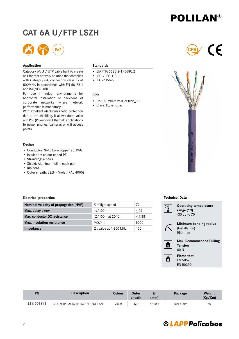### **® LAPPPolicabos**

# POLILAN®

### CAT 6A U/FTP LSZH



#### Application

Category 6A U / UTP cable built to create an Ethernet network solution that complies with Category 6A, connection class EA at 500MHz, in accordance with EN 50173-1 and ISO/IEC11801.

For use in indoor environments for horizontal installation or backbone of corporate networks where network performance is mandatory.

With excellent electromagnetic protection due to the shielding, it allows data, voice and PoE (Power over Ethernet) applications to power phones, cameras or wifi access points.

#### Design

- Conductor: Solid bare copper 23 AWG
- Insulation: colour-coded PE
- Stranding: 4 pairs
- Shield: Aluminum foil in each pair
- Rip cord
- Outer sheath: LSZH Violet (RAL 4005)

#### **Standards**

- EIA/TIA 568B.2-1/568C.2
- ISO / IEC 11801
- IEC 61156-5

#### CPR

- DoP Number: PoliDoP022\_00
- Class:  $D_{ca} S_2, d_2, a_1$





#### Electrical properties

| Design                                                                                                      |                                                                                   |                        |                               |                 |               |                      |                                             |              |
|-------------------------------------------------------------------------------------------------------------|-----------------------------------------------------------------------------------|------------------------|-------------------------------|-----------------|---------------|----------------------|---------------------------------------------|--------------|
| • Insulation: colour-coded PE<br>• Stranding: 4 pairs<br>· Shield: Aluminum foil in each pair<br>• Rip cord | • Conductor: Solid bare copper 23 AWG<br>• Outer sheath: LSZH - Violet (RAL 4005) |                        |                               |                 |               |                      | POLILAN® CAT6A U/FTP LSZH                   |              |
| <b>Electrical properties</b>                                                                                |                                                                                   |                        |                               |                 |               |                      | <b>Technical Data</b>                       |              |
|                                                                                                             | Nominal velocity of propagation (NVP)                                             | % of light speed       |                               | 72              |               |                      | <b>Operating temperatur</b>                 |              |
| Max. delay skew                                                                                             |                                                                                   | ns/100m                |                               | $\leq 45$       |               | $\sqrt[0]{\ddagger}$ | range (°C)                                  |              |
| Max. conductor DC resistance                                                                                |                                                                                   | $(\Omega/100m$ at 20°C |                               | $\leq 9,38$     |               |                      | -30 up to 75                                |              |
| <b>Max. insulation resistance</b>                                                                           |                                                                                   | $M\Omega/km$           |                               | 5000            |               |                      | Minimum bending rad                         |              |
| Impedance                                                                                                   |                                                                                   |                        | $\Omega$ ; value at 1-250 MHz | 100             |               |                      | (Installation)<br>58,4 mm                   |              |
|                                                                                                             |                                                                                   |                        |                               |                 |               | $\mathbb{R}$         | Max. Recommended F<br><b>Tension</b><br>80N |              |
|                                                                                                             |                                                                                   |                        |                               |                 |               | 内                    | <b>Flame test</b><br>EN 50575<br>EN 50399   |              |
|                                                                                                             |                                                                                   |                        |                               |                 |               |                      |                                             |              |
| PN                                                                                                          | <b>Description</b>                                                                |                        | <b>Colour</b>                 | Outer<br>sheath | Ø<br>(mm)     |                      | Package                                     | Weig<br>(Kg/ |
| 2311003643                                                                                                  | CC U/FTP CAT6A 4P LSZH VT POLILAN                                                 |                        | Violet                        | LSZH            | $7,3 \pm 0,3$ |                      | Reel 500m                                   | 50           |

#### Technical Data



Operating temperature range (°C) -30 up to 75



#### Minimum bending radius (Installation) 58,4 mm

Max. Recommended Pulling Tension 80 N



**PN** Description **Description** Colour Outer sheath Ø (mm) Package Weight (Kg/Km)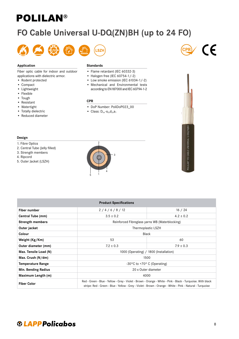### FO Cable Universal U-DQ(ZN)BH (up to 24 FO)



#### Application

Fiber optic cable for indoor and outdoor applications with dielectric armor.

- Rodent protected
- Compact
- Lightweight
- Flexible
- Tough
- Resistant
- Watertight
- Totally dielectric
- Reduced diameter

#### **Standards**

- Flame retardant (IEC 60332-3)
- Halogen free (IEC 60754-1/-2)
- Low smoke emission (IEC 61034-1/-2)
- Mechanical and Environmental tests according to EN187000 and IEC 60794-1-2

#### CPR

- DoP Number: PoliDoP023\_00
- Class:  $D_{ca} S_2, d_2, a_1$







- 1. Fibre Optics
- 2. Central Tube (Jelly filled)
- 3. Strength members
- 4. Ripcord
- 5. Outer Jacket (LSZH)



| Design                                                                                                           |                                                                                                                                                                                                                          |                                        |  |  |  |
|------------------------------------------------------------------------------------------------------------------|--------------------------------------------------------------------------------------------------------------------------------------------------------------------------------------------------------------------------|----------------------------------------|--|--|--|
| 1. Fibre Optics<br>2. Central Tube (Jelly filled)<br>3. Strength members<br>4. Ripcord<br>5. Outer Jacket (LSZH) | $\overline{2}$<br>3<br>5                                                                                                                                                                                                 | POLILAN® FO CABLE UNIVERSAL U-DQ(ZN)BH |  |  |  |
|                                                                                                                  | <b>Product Specifications</b>                                                                                                                                                                                            |                                        |  |  |  |
| <b>Fiber number</b>                                                                                              | 2/4/6/8/12                                                                                                                                                                                                               | 16 / 24                                |  |  |  |
| Central Tube (mm)                                                                                                | $3.5 \pm 0.2$                                                                                                                                                                                                            | $4.2 \pm 0.2$                          |  |  |  |
| <b>Strength members</b>                                                                                          | Reinforced Fibreglass yarns WB (Waterblocking)                                                                                                                                                                           |                                        |  |  |  |
| Outer jacket                                                                                                     | Thermoplastic LSZH                                                                                                                                                                                                       |                                        |  |  |  |
| Colour                                                                                                           |                                                                                                                                                                                                                          | Black                                  |  |  |  |
| Weight (Kg/Km)                                                                                                   | 53                                                                                                                                                                                                                       | 60                                     |  |  |  |
| Outer diameter (mm)                                                                                              | $7.2 \pm 0.3$                                                                                                                                                                                                            | $7.9 \pm 0.3$                          |  |  |  |
| Max. Tensile Load (N)                                                                                            |                                                                                                                                                                                                                          | 1000 (Operating) / 1800 (Installation) |  |  |  |
| Max. Crush (N/dm)                                                                                                | 1500                                                                                                                                                                                                                     |                                        |  |  |  |
| <b>Temperature Range</b>                                                                                         | -30°C to +70° C (Operating)                                                                                                                                                                                              |                                        |  |  |  |
| Min. Bending Radius                                                                                              |                                                                                                                                                                                                                          | 20 x Outer diameter                    |  |  |  |
| Maximum Length (m)                                                                                               | 4000                                                                                                                                                                                                                     |                                        |  |  |  |
| <b>Fiber Color</b>                                                                                               | Red - Green - Blue - Yellow - Grey - Violet - Brown - Orange - White - Pink - Black - Turquoise. With black<br>stripe: Red - Green - Blue - Yellow - Grey - Violet - Brown - Orange - White - Pink - Natural - Turquoise |                                        |  |  |  |

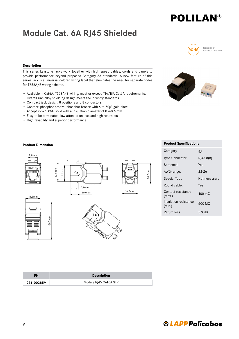### Module Cat. 6A RJ45 Shielded



Rectriction of Hazardous Substance

#### Description

This series keystone jacks work together with high speed cables, cords and panels to provide performance beyond proposed Category 6A standards. A new feature of this series jack is a universal colored wiring label that eliminates the need for separate codes for T568A/B wiring scheme.

- Available in Cat6A, T568A/B wiring, meet or exceed TIA/EIA Cat6A requirements.
- Overall zinc alloy shielding design meets the industry standards.
- Compact jack design, 8 positions and 8 conductors.
- Contact: phosphor bronze, phosphor bronze with 6 to 50μ" gold plate.
- Accept 22-26 AWG solid with a insulation diameter of 0.4-0.6 mm.
- Easy to be terminated, low attenuation loss and high return loss.
- High reliability and superior performance.

#### **Product Dimension**



| Category                        | 6А               |
|---------------------------------|------------------|
| Type Connector:                 | RJ45 8(8)        |
| Screened:                       | Yes              |
| AWG-range:                      | 22-26            |
| Special Tool:                   | Not necessary    |
| Round cable:                    | Yes              |
| Contact resistance<br>(max.)    | $100 \text{ m}$  |
| Insulation resistance<br>(min.) | 500 MO           |
| Return loss                     | $5.9 \text{ dB}$ |

| PN         | <b>Description</b>    |
|------------|-----------------------|
| 2311002859 | Module RJ45 CAT6A STP |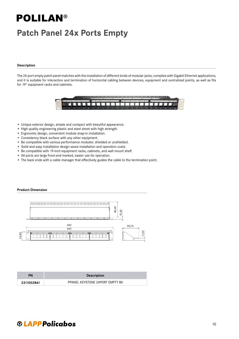### Patch Panel 24x Ports Empty

#### Description

The 24-port empty patch panel matches with the installation of different kinds of modular jacks, complies with Gigabit Ethernet applications, and it is suitable for interaction and termination of horizontal cabling between devices, equipment and centralized points, as well as fits for 19" equipment racks and cabinets.



- Unique exterior design, simple and compact with beautiful appearance.
- High quality engineering plastic and steel sheet with high strength.
- Ergonomic design, convenient module snap-in installation.
- Consistency black surface with any other equipment.
- Be compatible with various performance modules: shielded or unshielded.
- Solid and easy installation design saves installation and operation costs.
- Be compatible with 19-inch equipment racks, cabinets, and wall mount shelf.
- All ports are large front-end marked, easier use for operation.
- The back ends with a cable manager that effectively guides the cable to the termination point.

#### Product Dimension



| ΡN         | <b>Description</b>              |
|------------|---------------------------------|
| 2311002861 | PPANEL KEYSTONE 24PORT EMPTY BK |

### **@LAPPPolicabos**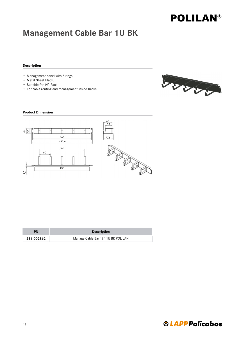### Management Cable Bar 1U BK

#### Description

- Management panel with 5 rings.
- Metal Sheet Black.
- Suitable for 19" Rack.
- For cable routing and management inside Racks.



#### Product Dimension



| PN         | <b>Description</b>                 |
|------------|------------------------------------|
| 2311002862 | Manage Cable Bar 19" 1U BK POLILAN |

### **®LAPPPolicabos**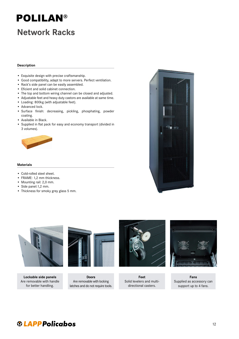### Network Racks

#### Description

- Exquisite design with precise craftsmanship.
- Good compatibility, adapt to more servers. Perfect ventilation.
- Rack's side panel can be easily assembled.
- Eficient and solid cabinet connection.
- The top and bottom wiring channel can be closed and adjusted.
- Adjustable feet and heavy duty castors are available at same time.
- Loading: 800kg (with adjustable feet).
- Advanced lock.
- Surface finish: decreasing, pickling, phosphating, powder coating.
- Available in Black.
- Supplied in flat pack for easy and economy transport (divided in 3 volumes).



#### Materials

- Cold-rolled steel sheet.
- FRAME: 1,2 mm thickness.
- Mounting rail: 2,0 mm.
- Side panel:1,2 mm.
- Thickness for smoky grey glass 5 mm.





Lockable side panels Are removable with handle for better handling.



Doors Are removable with locking latches and do not require tools.



Feet Solid levelers and multidirectional casters.



Fans Supplied as accessory can support up to 4 fans.

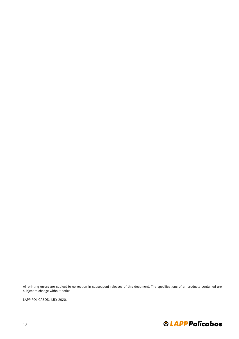All printing errors are subject to correction in subsequent releases of this document. The specifications of all products contained are subject to change without notice.

LAPP POLICABOS. JULY 2020.